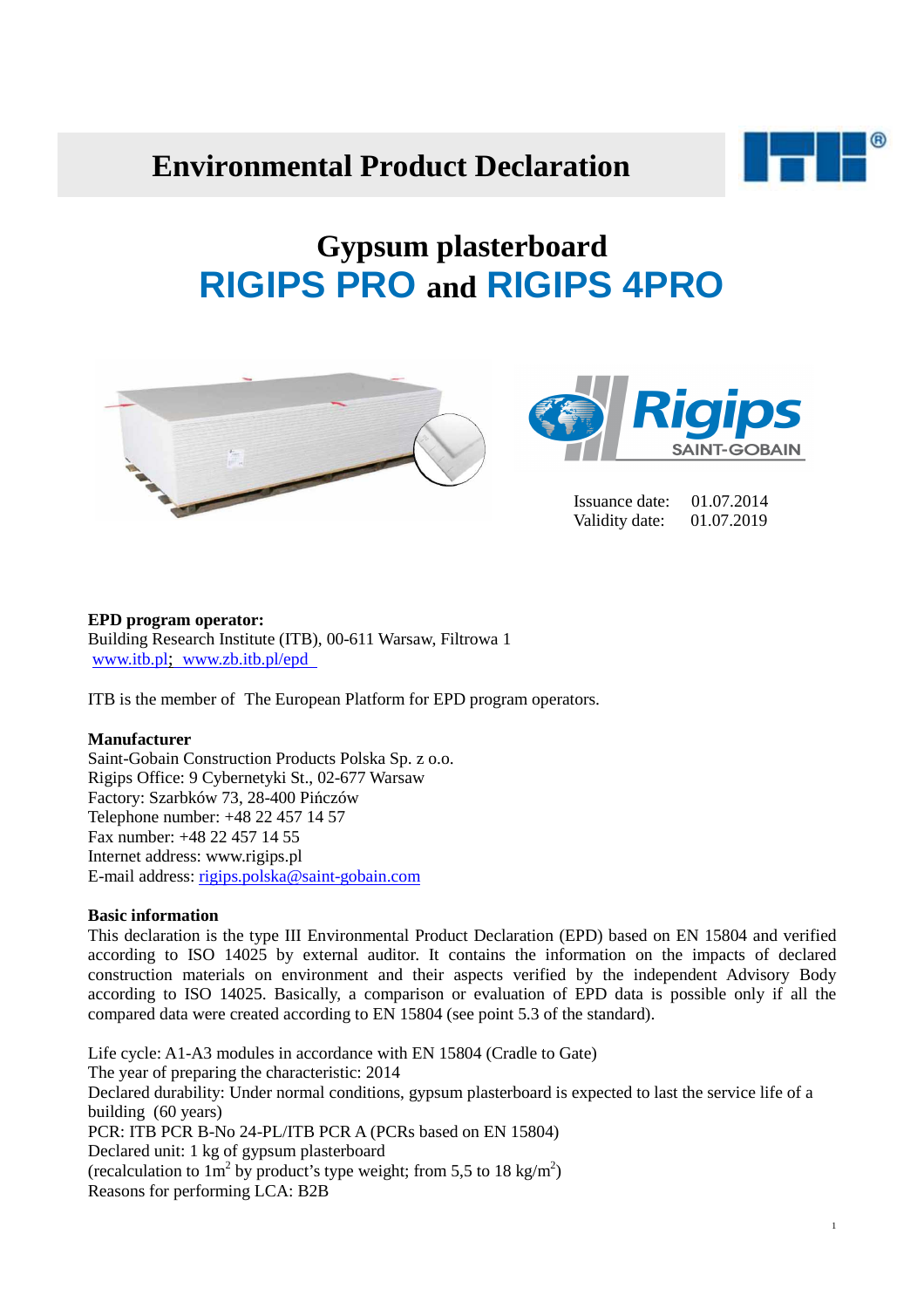# **Environmental Product Declaration**



# **Gypsum plasterboard RIGIPS PRO and RIGIPS 4PRO**





 Issuance date: 01.07.2014 Validity date: 01.07.2019

#### **EPD program operator:**

Building Research Institute (ITB), 00-611 Warsaw, Filtrowa 1 www.itb.pl; www.zb.itb.pl/epd

ITB is the member of The European Platform for EPD program operators.

#### **Manufacturer**

Saint-Gobain Construction Products Polska Sp. z o.o. Rigips Office: 9 Cybernetyki St., 02-677 Warsaw Factory: Szarbków 73, 28-400 Pińczów Telephone number: +48 22 457 14 57 Fax number: +48 22 457 14 55 Internet address: www.rigips.pl E-mail address: rigips.polska@saint-gobain.com

# **Basic information**

This declaration is the type III Environmental Product Declaration (EPD) based on EN 15804 and verified according to ISO 14025 by external auditor. It contains the information on the impacts of declared construction materials on environment and their aspects verified by the independent Advisory Body according to ISO 14025. Basically, a comparison or evaluation of EPD data is possible only if all the compared data were created according to EN 15804 (see point 5.3 of the standard).

Life cycle: A1-A3 modules in accordance with EN 15804 (Cradle to Gate) The year of preparing the characteristic: 2014 Declared durability: Under normal conditions, gypsum plasterboard is expected to last the service life of a building (60 years) PCR: ITB PCR B-No 24-PL/ITB PCR A (PCRs based on EN 15804) Declared unit: 1 kg of gypsum plasterboard (recalculation to  $1m^2$  by product's type weight; from 5,5 to 18 kg/m<sup>2</sup>) Reasons for performing LCA: B2B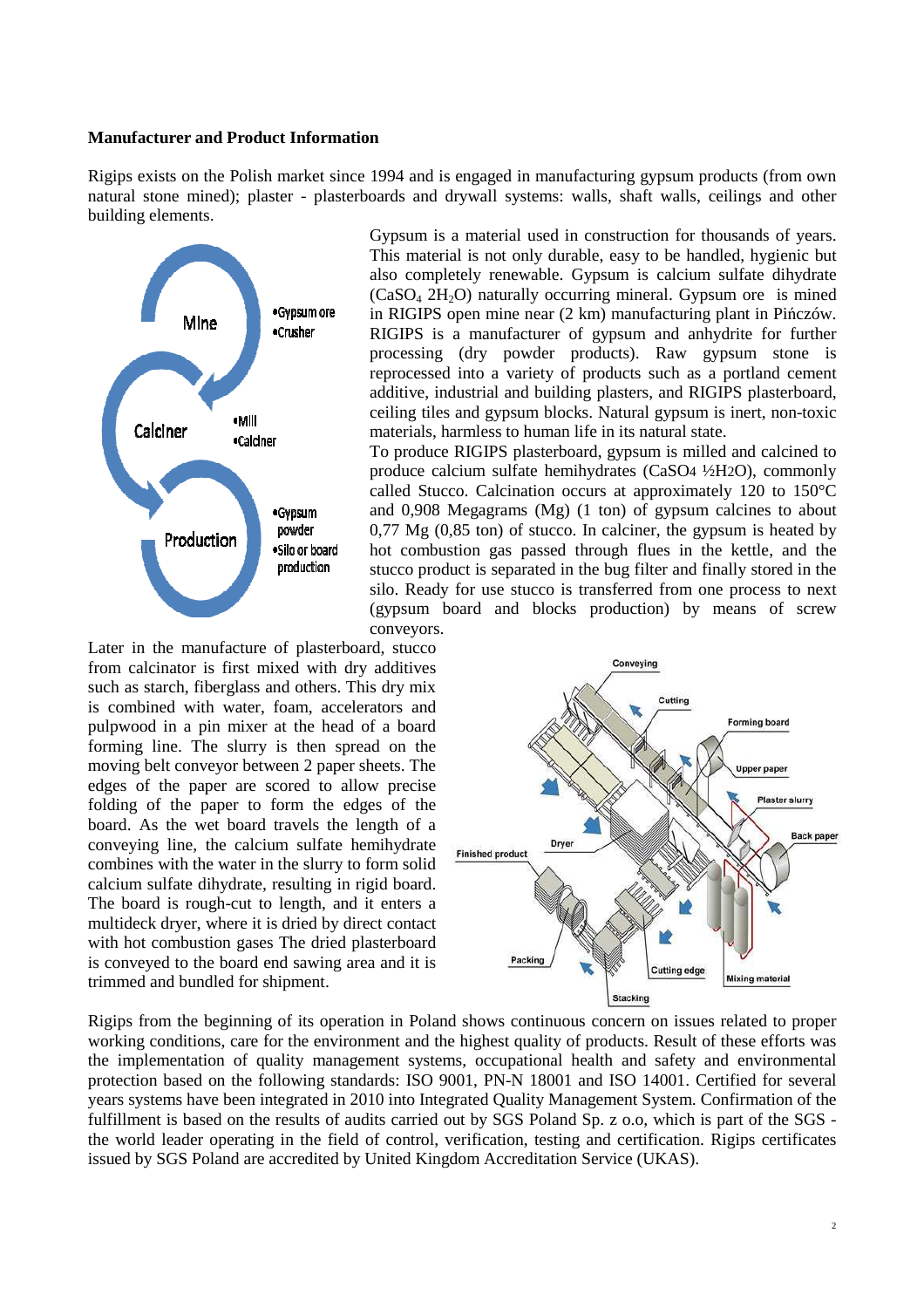#### **Manufacturer and Product Information**

Rigips exists on the Polish market since 1994 and is engaged in manufacturing gypsum products (from own natural stone mined); plaster - plasterboards and drywall systems: walls, shaft walls, ceilings and other building elements.



Gypsum is a material used in construction for thousands of years. This material is not only durable, easy to be handled, hygienic but also completely renewable. Gypsum is calcium sulfate dihydrate  $(CaSO<sub>4</sub> 2H<sub>2</sub>O)$  naturally occurring mineral. Gypsum ore is mined in RIGIPS open mine near (2 km) manufacturing plant in Pińczów. RIGIPS is a manufacturer of gypsum and anhydrite for further processing (dry powder products). Raw gypsum stone is reprocessed into a variety of products such as a portland cement additive, industrial and building plasters, and RIGIPS plasterboard, ceiling tiles and gypsum blocks. Natural gypsum is inert, non-toxic materials, harmless to human life in its natural state.

To produce RIGIPS plasterboard, gypsum is milled and calcined to produce calcium sulfate hemihydrates (CaSO4 ½H2O), commonly called Stucco. Calcination occurs at approximately 120 to 150°C and 0,908 Megagrams (Mg) (1 ton) of gypsum calcines to about 0,77 Mg (0,85 ton) of stucco. In calciner, the gypsum is heated by hot combustion gas passed through flues in the kettle, and the stucco product is separated in the bug filter and finally stored in the silo. Ready for use stucco is transferred from one process to next (gypsum board and blocks production) by means of screw conveyors.

Later in the manufacture of plasterboard, stucco from calcinator is first mixed with dry additives such as starch, fiberglass and others. This dry mix is combined with water, foam, accelerators and pulpwood in a pin mixer at the head of a board forming line. The slurry is then spread on the moving belt conveyor between 2 paper sheets. The edges of the paper are scored to allow precise folding of the paper to form the edges of the board. As the wet board travels the length of a conveying line, the calcium sulfate hemihydrate combines with the water in the slurry to form solid calcium sulfate dihydrate, resulting in rigid board. The board is rough-cut to length, and it enters a multideck dryer, where it is dried by direct contact with hot combustion gases The dried plasterboard is conveyed to the board end sawing area and it is trimmed and bundled for shipment.



Rigips from the beginning of its operation in Poland shows continuous concern on issues related to proper working conditions, care for the environment and the highest quality of products. Result of these efforts was the implementation of quality management systems, occupational health and safety and environmental protection based on the following standards: ISO 9001, PN-N 18001 and ISO 14001. Certified for several years systems have been integrated in 2010 into Integrated Quality Management System. Confirmation of the fulfillment is based on the results of audits carried out by SGS Poland Sp. z o.o, which is part of the SGS the world leader operating in the field of control, verification, testing and certification. Rigips certificates issued by SGS Poland are accredited by United Kingdom Accreditation Service (UKAS).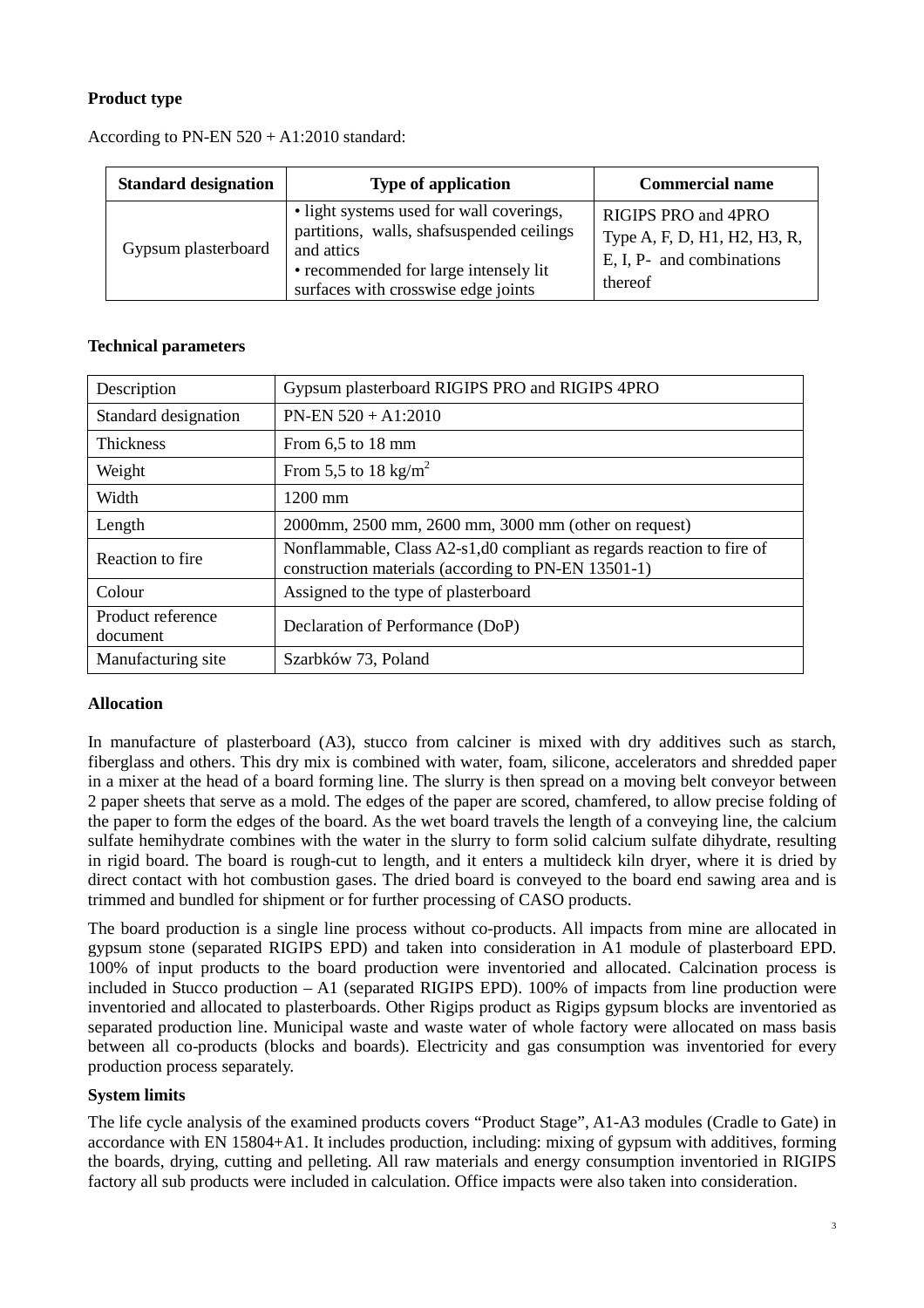# **Product type**

| <b>Standard designation</b> | <b>Type of application</b>                                                                                                                                                          | <b>Commercial name</b>                                                                      |
|-----------------------------|-------------------------------------------------------------------------------------------------------------------------------------------------------------------------------------|---------------------------------------------------------------------------------------------|
| Gypsum plasterboard         | • light systems used for wall coverings,<br>partitions, walls, shafsuspended ceilings<br>and attics<br>• recommended for large intensely lit<br>surfaces with crosswise edge joints | RIGIPS PRO and 4PRO<br>Type A, F, D, H1, H2, H3, R,<br>E, I, P- and combinations<br>thereof |

### According to PN-EN 520 + A1:2010 standard:

# **Technical parameters**

| Description                   | Gypsum plasterboard RIGIPS PRO and RIGIPS 4PRO                                                                               |
|-------------------------------|------------------------------------------------------------------------------------------------------------------------------|
| Standard designation          | $PN-EN 520 + A1:2010$                                                                                                        |
| Thickness                     | From $6.5$ to 18 mm                                                                                                          |
| Weight                        | From 5,5 to 18 kg/m <sup>2</sup>                                                                                             |
| Width                         | 1200 mm                                                                                                                      |
| Length                        | 2000mm, 2500 mm, 2600 mm, 3000 mm (other on request)                                                                         |
| Reaction to fire.             | Nonflammable, Class A2-s1,d0 compliant as regards reaction to fire of<br>construction materials (according to PN-EN 13501-1) |
| Colour                        | Assigned to the type of plasterboard                                                                                         |
| Product reference<br>document | Declaration of Performance (DoP)                                                                                             |
| Manufacturing site            | Szarbków 73, Poland                                                                                                          |

# **Allocation**

In manufacture of plasterboard (A3), stucco from calciner is mixed with dry additives such as starch, fiberglass and others. This dry mix is combined with water, foam, silicone, accelerators and shredded paper in a mixer at the head of a board forming line. The slurry is then spread on a moving belt conveyor between 2 paper sheets that serve as a mold. The edges of the paper are scored, chamfered, to allow precise folding of the paper to form the edges of the board. As the wet board travels the length of a conveying line, the calcium sulfate hemihydrate combines with the water in the slurry to form solid calcium sulfate dihydrate, resulting in rigid board. The board is rough-cut to length, and it enters a multideck kiln dryer, where it is dried by direct contact with hot combustion gases. The dried board is conveyed to the board end sawing area and is trimmed and bundled for shipment or for further processing of CASO products.

The board production is a single line process without co-products. All impacts from mine are allocated in gypsum stone (separated RIGIPS EPD) and taken into consideration in A1 module of plasterboard EPD. 100% of input products to the board production were inventoried and allocated. Calcination process is included in Stucco production – A1 (separated RIGIPS EPD). 100% of impacts from line production were inventoried and allocated to plasterboards. Other Rigips product as Rigips gypsum blocks are inventoried as separated production line. Municipal waste and waste water of whole factory were allocated on mass basis between all co-products (blocks and boards). Electricity and gas consumption was inventoried for every production process separately.

# **System limits**

The life cycle analysis of the examined products covers "Product Stage", A1-A3 modules (Cradle to Gate) in accordance with EN 15804+A1. It includes production, including: mixing of gypsum with additives, forming the boards, drying, cutting and pelleting. All raw materials and energy consumption inventoried in RIGIPS factory all sub products were included in calculation. Office impacts were also taken into consideration.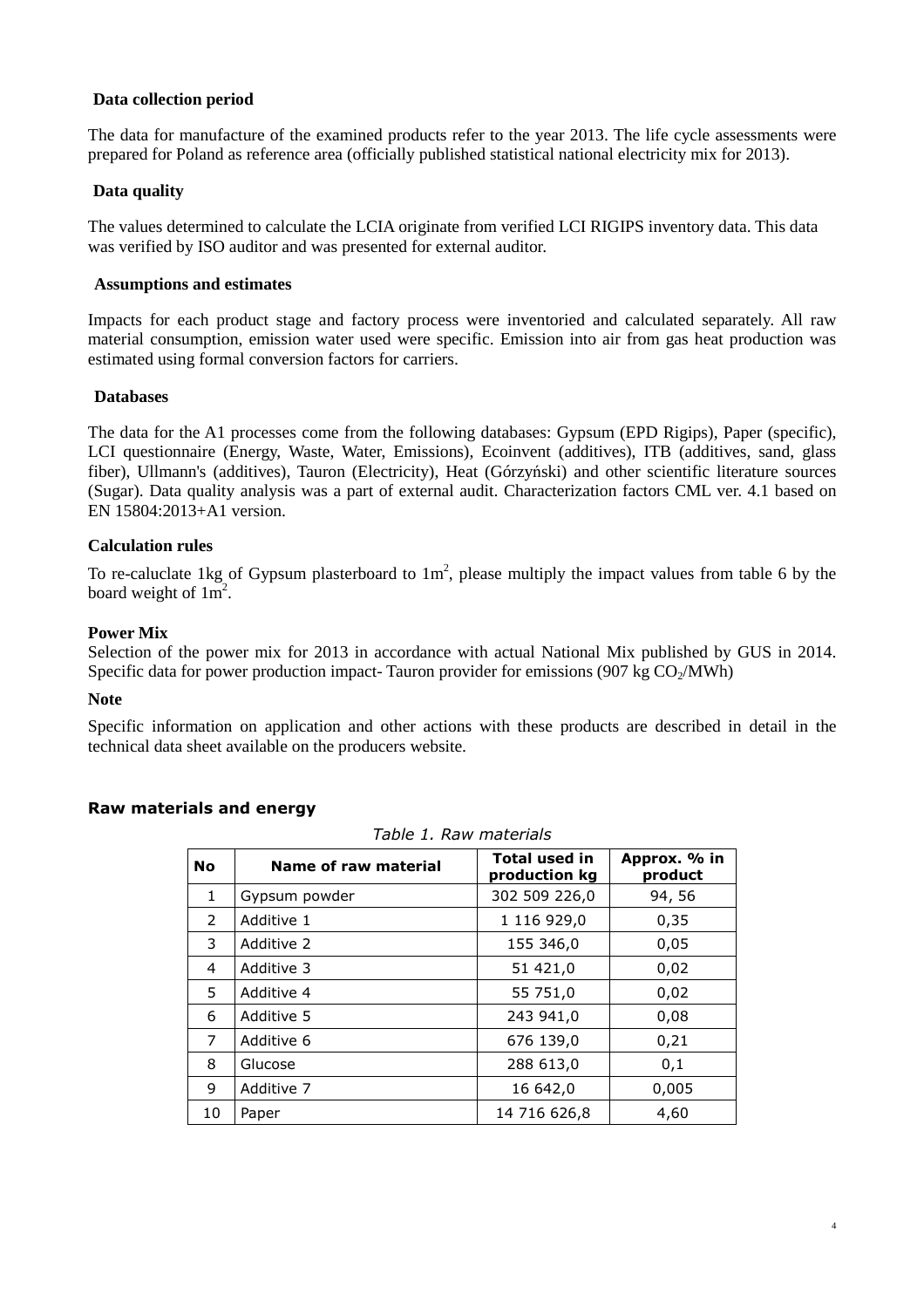#### **Data collection period**

The data for manufacture of the examined products refer to the year 2013. The life cycle assessments were prepared for Poland as reference area (officially published statistical national electricity mix for 2013).

#### **Data quality**

The values determined to calculate the LCIA originate from verified LCI RIGIPS inventory data. This data was verified by ISO auditor and was presented for external auditor.

#### **Assumptions and estimates**

Impacts for each product stage and factory process were inventoried and calculated separately. All raw material consumption, emission water used were specific. Emission into air from gas heat production was estimated using formal conversion factors for carriers.

#### **Databases**

The data for the A1 processes come from the following databases: Gypsum (EPD Rigips), Paper (specific), LCI questionnaire (Energy, Waste, Water, Emissions), Ecoinvent (additives), ITB (additives, sand, glass fiber), Ullmann's (additives), Tauron (Electricity), Heat (Górzyński) and other scientific literature sources (Sugar). Data quality analysis was a part of external audit. Characterization factors CML ver. 4.1 based on EN 15804:2013+A1 version.

#### **Calculation rules**

To re-caluclate 1kg of Gypsum plasterboard to  $1m^2$ , please multiply the impact values from table 6 by the board weight of  $1m^2$ .

#### **Power Mix**

Selection of the power mix for 2013 in accordance with actual National Mix published by GUS in 2014. Specific data for power production impact- Tauron provider for emissions (907 kg  $CO<sub>2</sub>/MWh$ )

#### **Note**

Specific information on application and other actions with these products are described in detail in the technical data sheet available on the producers website.

#### **Raw materials and energy**

| <b>No</b> | Name of raw material | <b>Total used in</b><br>production kg | Approx. % in<br>product |
|-----------|----------------------|---------------------------------------|-------------------------|
| 1         | Gypsum powder        | 302 509 226,0                         | 94, 56                  |
| 2         | Additive 1           | 1 116 929,0                           | 0,35                    |
| 3         | Additive 2           | 155 346,0                             | 0,05                    |
| 4         | Additive 3           | 51 421.0                              | 0,02                    |
| 5         | Additive 4           | 55 751,0                              | 0,02                    |
| 6         | Additive 5           | 243 941,0                             | 0,08                    |
| 7         | Additive 6           | 676 139,0                             | 0,21                    |
| 8         | Glucose              | 288 613,0                             | 0,1                     |
| 9         | Additive 7           | 16 642,0                              | 0,005                   |
| 10        | Paper                | 14 716 626,8                          | 4,60                    |

*Table 1. Raw materials*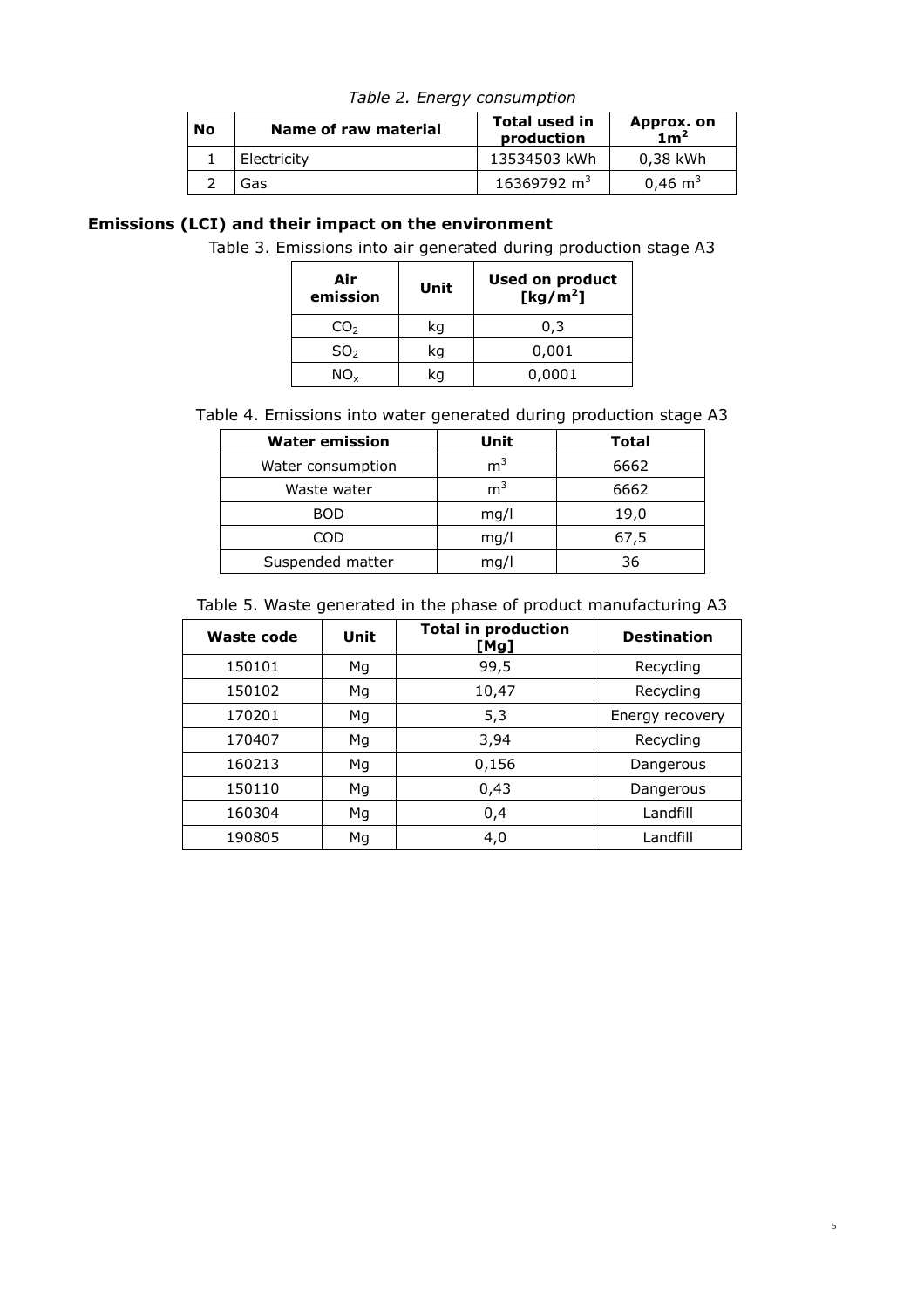| <b>No</b> | Name of raw material | <b>Total used in</b><br>production | Approx. on<br>1m <sup>2</sup> |
|-----------|----------------------|------------------------------------|-------------------------------|
|           | Electricity          | 13534503 kWh                       | 0,38 kWh                      |
|           | Gas                  | 16369792 $m3$                      | $0,46 \text{ m}^3$            |

*Table 2. Energy consumption* 

# **Emissions (LCI) and their impact on the environment**

Table 3. Emissions into air generated during production stage A3

| Air<br>emission | Unit | Used on product<br>[ $kg/m2$ ] |
|-----------------|------|--------------------------------|
| CO <sub>2</sub> | kq   | 0.3                            |
| SO <sub>2</sub> | kq   | 0,001                          |
| NO.             |      | 0,0001                         |

Table 4. Emissions into water generated during production stage A3

| <b>Water emission</b> | Unit           | Total |
|-----------------------|----------------|-------|
| Water consumption     | m <sup>3</sup> | 6662  |
| Waste water           | m <sup>3</sup> | 6662  |
| <b>BOD</b>            | mq/l           | 19,0  |
| COD                   | mq/l           | 67,5  |
| Suspended matter      | mq/l           | 36    |

| Table 5. Waste generated in the phase of product manufacturing A3 |  |  |
|-------------------------------------------------------------------|--|--|
|-------------------------------------------------------------------|--|--|

| Waste code | Unit | <b>Total in production</b><br>[Mg] | <b>Destination</b> |
|------------|------|------------------------------------|--------------------|
| 150101     | Mg   | 99,5                               | Recycling          |
| 150102     | Мg   | 10,47                              | Recycling          |
| 170201     | Мg   | 5,3                                | Energy recovery    |
| 170407     | Mg   | 3,94                               | Recycling          |
| 160213     | Мg   | 0,156                              | Dangerous          |
| 150110     | Mg   | 0,43                               | Dangerous          |
| 160304     | Мg   | 0,4                                | Landfill           |
| 190805     | Мg   | 4,0                                | Landfill           |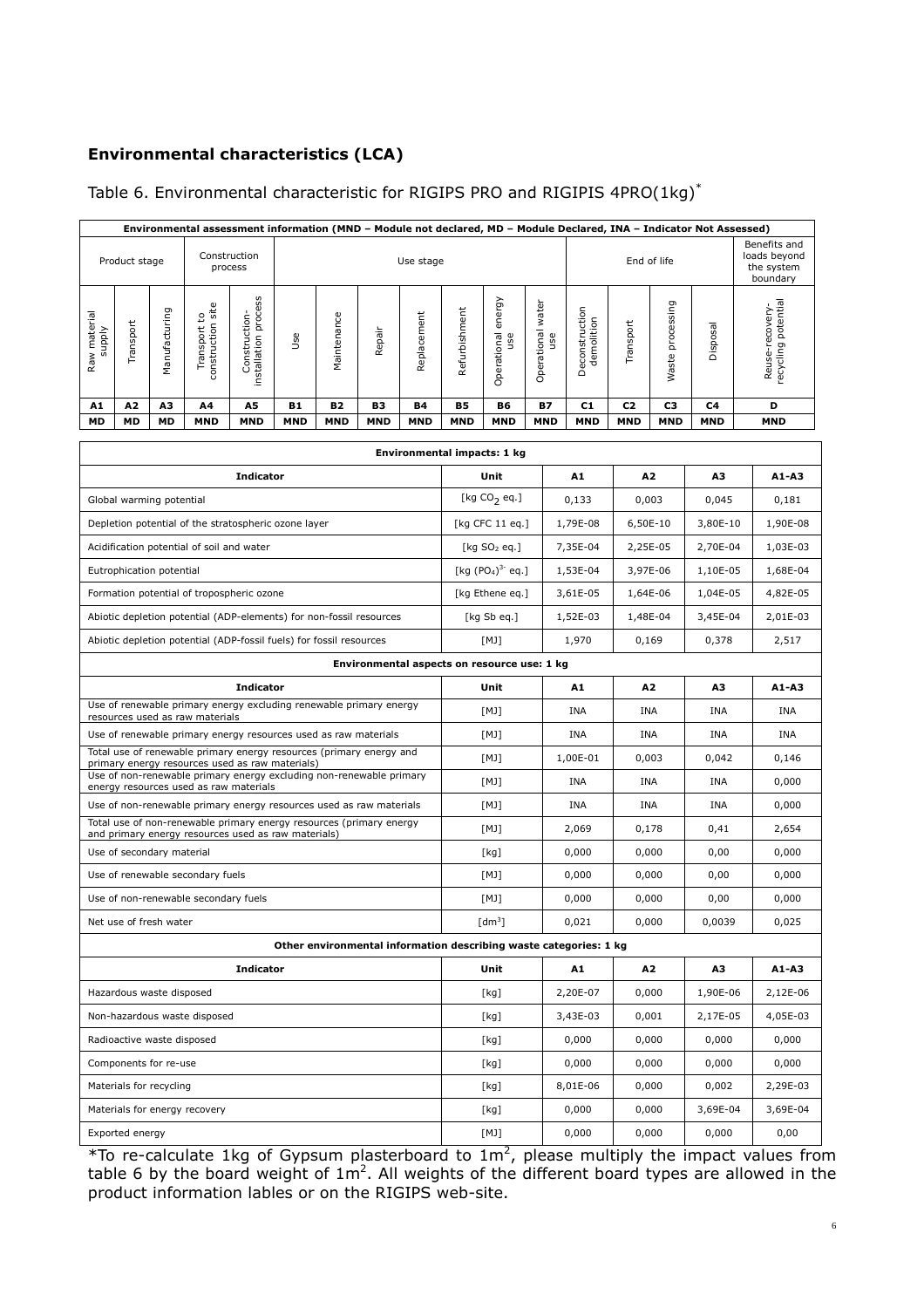# **Environmental characteristics (LCA)**

## Table 6. Environmental characteristic for RIGIPS PRO and RIGIPIS 4PRO(1kg)\*

| Environmental assessment information (MND - Module not declared, MD - Module Declared, INA - Indicator Not Assessed)   |                           |               |                                           |                                                                                                                            |            |              |            |                    |               |                                             |                          |                                                                   |                |                  |            |                                                        |
|------------------------------------------------------------------------------------------------------------------------|---------------------------|---------------|-------------------------------------------|----------------------------------------------------------------------------------------------------------------------------|------------|--------------|------------|--------------------|---------------|---------------------------------------------|--------------------------|-------------------------------------------------------------------|----------------|------------------|------------|--------------------------------------------------------|
|                                                                                                                        | Product stage             |               |                                           | Construction<br>process                                                                                                    | Use stage  |              |            |                    |               |                                             |                          |                                                                   | End of life    |                  |            | Benefits and<br>loads beyond<br>the system<br>boundary |
| Raw materia<br>Ylddns                                                                                                  | Transport                 | Manufacturing | construction site<br>Transport to         | installation process<br>Construction-                                                                                      | Use        | Maintenance  | Repair     | Replacement        | Refurbishment | energy<br>Operational<br>use                | Operational water<br>use | Deconstruction<br>demolition                                      | Transport      | Waste processing | Disposal   | recycling potential<br>Reuse-recovery-                 |
| A1                                                                                                                     | А2                        | АЗ            | Α4                                        | A5                                                                                                                         | B1         | B2           | B3         | Β4                 | <b>B5</b>     | B6                                          | B7                       | C1                                                                | C <sub>2</sub> | C3               | C4         | D                                                      |
| <b>MD</b>                                                                                                              | <b>MD</b>                 | <b>MD</b>     | <b>MND</b>                                | <b>MND</b>                                                                                                                 | <b>MND</b> | <b>MND</b>   | <b>MND</b> | <b>MND</b>         | <b>MND</b>    | <b>MND</b>                                  | <b>MND</b>               | <b>MND</b>                                                        | <b>MND</b>     | <b>MND</b>       | <b>MND</b> | <b>MND</b>                                             |
|                                                                                                                        |                           |               |                                           |                                                                                                                            |            |              |            |                    |               | Environmental impacts: 1 kg                 |                          |                                                                   |                |                  |            |                                                        |
|                                                                                                                        |                           |               |                                           | <b>Indicator</b>                                                                                                           |            |              |            |                    |               | Unit                                        |                          | A1                                                                |                | A2               | А3         | A1-A3                                                  |
|                                                                                                                        | Global warming potential  |               |                                           |                                                                                                                            |            |              |            |                    |               | [kg $CO2$ eq.]                              |                          | 0,133                                                             |                | 0,003            | 0,045      | 0,181                                                  |
|                                                                                                                        |                           |               |                                           | Depletion potential of the stratospheric ozone layer                                                                       |            |              |            |                    |               | [kg CFC 11 eq.]                             |                          | 1,79E-08                                                          |                | 6,50E-10         | 3,80E-10   | 1,90E-08                                               |
|                                                                                                                        |                           |               | Acidification potential of soil and water |                                                                                                                            |            |              |            |                    |               | [kg $SO2$ eq.]                              |                          | 7,35E-04                                                          |                | 2,25E-05         | 2,70E-04   | 1,03E-03                                               |
|                                                                                                                        | Eutrophication potential  |               |                                           |                                                                                                                            |            |              |            |                    |               | [kg $(PO4)3$ eq.]                           |                          | 1,53E-04                                                          |                | 3,97E-06         | 1,10E-05   | 1,68E-04                                               |
|                                                                                                                        |                           |               |                                           | Formation potential of tropospheric ozone                                                                                  |            |              |            |                    |               | [kg Ethene eg.]                             |                          | 3,61E-05                                                          |                | 1,64E-06         | 1,04E-05   | 4,82E-05                                               |
|                                                                                                                        |                           |               |                                           | Abiotic depletion potential (ADP-elements) for non-fossil resources                                                        |            |              |            |                    | [kg Sb eq.]   |                                             | 1,52E-03                 | 1,48E-04                                                          |                | 3,45E-04         | 2,01E-03   |                                                        |
| Abiotic depletion potential (ADP-fossil fuels) for fossil resources                                                    |                           |               |                                           |                                                                                                                            |            | [M]<br>1,970 |            |                    |               | 0,169                                       | 2,517                    |                                                                   |                |                  |            |                                                        |
|                                                                                                                        |                           |               |                                           |                                                                                                                            |            |              |            |                    |               | Environmental aspects on resource use: 1 kg |                          |                                                                   |                |                  |            |                                                        |
| <b>Indicator</b>                                                                                                       |                           |               |                                           |                                                                                                                            |            | Unit         |            | A1                 |               | A2                                          | А3                       | A1-A3                                                             |                |                  |            |                                                        |
|                                                                                                                        |                           |               | resources used as raw materials           | Use of renewable primary energy excluding renewable primary energy                                                         |            |              |            |                    |               | [M]                                         |                          | <b>INA</b>                                                        |                | INA              | INA        | INA                                                    |
| Use of renewable primary energy resources used as raw materials                                                        |                           |               | [M]                                       |                                                                                                                            | INA        |              | <b>INA</b> | INA                | <b>INA</b>    |                                             |                          |                                                                   |                |                  |            |                                                        |
| Total use of renewable primary energy resources (primary energy and<br>primary energy resources used as raw materials) |                           |               |                                           |                                                                                                                            |            | [M]          |            | 1,00E-01           |               | 0,003                                       | 0,042                    | 0,146                                                             |                |                  |            |                                                        |
| Use of non-renewable primary energy excluding non-renewable primary<br>energy resources used as raw materials          |                           |               |                                           |                                                                                                                            | [M]        |              | INA        |                    | <b>INA</b>    | INA                                         | 0,000                    |                                                                   |                |                  |            |                                                        |
|                                                                                                                        |                           |               |                                           | Use of non-renewable primary energy resources used as raw materials                                                        |            |              |            |                    |               | [M]                                         |                          | INA                                                               | INA            |                  | INA        | 0,000                                                  |
|                                                                                                                        |                           |               |                                           | Total use of non-renewable primary energy resources (primary energy<br>and primary energy resources used as raw materials) |            |              |            |                    |               | [MJ]                                        |                          | 2,069                                                             |                | 0,178            | 0,41       | 2,654                                                  |
|                                                                                                                        | Use of secondary material |               |                                           |                                                                                                                            |            |              |            |                    |               | [kg]                                        |                          | 0,000                                                             |                | 0,000            | 0,00       | 0,000                                                  |
|                                                                                                                        |                           |               | Use of renewable secondary fuels          |                                                                                                                            |            |              |            |                    | [M]           |                                             |                          | 0,000                                                             |                | 0,000            | 0,00       | 0,000                                                  |
|                                                                                                                        |                           |               | Use of non-renewable secondary fuels      |                                                                                                                            |            |              |            |                    |               | [M]                                         |                          | 0,000                                                             |                | 0,000            | 0,00       | 0,000                                                  |
| Net use of fresh water                                                                                                 |                           |               |                                           |                                                                                                                            |            |              |            | [dm <sup>3</sup> ] |               | 0,021                                       |                          | 0,000                                                             | 0,0039         | 0,025            |            |                                                        |
|                                                                                                                        |                           |               |                                           |                                                                                                                            |            |              |            |                    |               |                                             |                          | Other environmental information describing waste categories: 1 kg |                |                  |            |                                                        |
|                                                                                                                        |                           |               |                                           | <b>Indicator</b>                                                                                                           |            |              |            |                    |               | Unit                                        |                          | A1                                                                |                | A2               | A3         | A1-A3                                                  |
| Hazardous waste disposed                                                                                               |                           |               |                                           |                                                                                                                            | [kg]       |              | 2,20E-07   |                    | 0,000         | 1,90E-06                                    | 2,12E-06                 |                                                                   |                |                  |            |                                                        |
| Non-hazardous waste disposed                                                                                           |                           |               |                                           |                                                                                                                            | [kg]       |              | 3,43E-03   |                    | 0,001         | 2,17E-05                                    | 4,05E-03                 |                                                                   |                |                  |            |                                                        |
| Radioactive waste disposed                                                                                             |                           |               |                                           |                                                                                                                            | [kg]       |              | 0,000      |                    | 0,000         | 0,000                                       | 0,000                    |                                                                   |                |                  |            |                                                        |
|                                                                                                                        | Components for re-use     |               |                                           |                                                                                                                            |            |              |            |                    |               | [kg]                                        |                          | 0,000                                                             |                | 0,000            | 0,000      | 0,000                                                  |
|                                                                                                                        | Materials for recycling   |               |                                           |                                                                                                                            |            |              |            |                    |               | [kg]                                        |                          | 8,01E-06                                                          |                | 0,000            | 0,002      | 2,29E-03                                               |
|                                                                                                                        |                           |               | Materials for energy recovery             |                                                                                                                            |            |              |            |                    |               | [kg]                                        |                          | 0,000                                                             |                | 0,000            | 3,69E-04   | 3,69E-04                                               |
|                                                                                                                        | Exported energy           |               |                                           |                                                                                                                            |            |              |            |                    | [M]           |                                             | 0,000                    |                                                                   | 0,000          | 0,000            | 0,00       |                                                        |

\*To re-calculate 1kg of Gypsum plasterboard to 1m<sup>2</sup>, please multiply the impact values from table 6 by the board weight of 1m<sup>2</sup>. All weights of the different board types are allowed in the product information lables or on the RIGIPS web-site.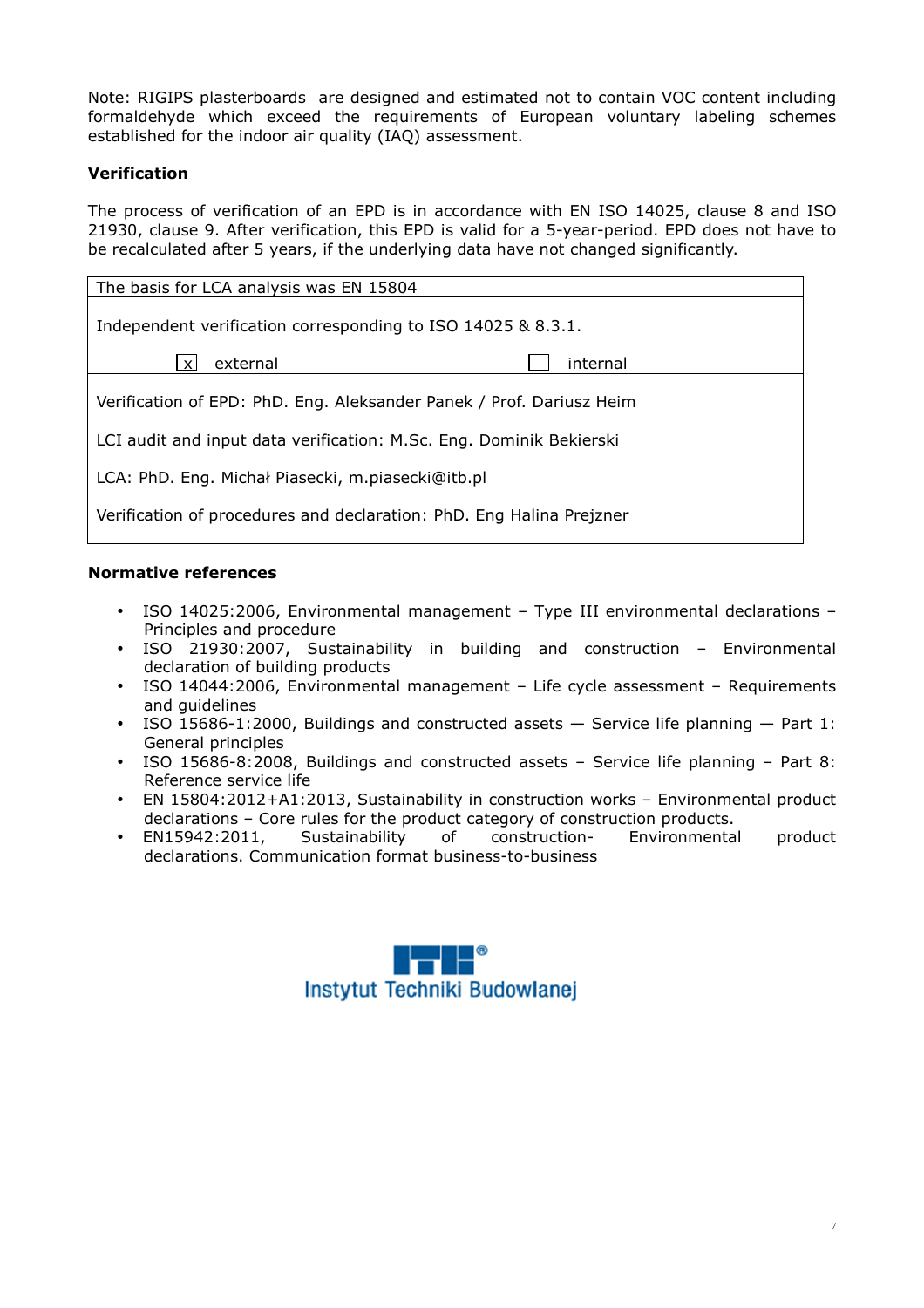Note: RIGIPS plasterboards are designed and estimated not to contain VOC content including formaldehyde which exceed the requirements of European voluntary labeling schemes established for the indoor air quality (IAQ) assessment.

# **Verification**

The process of verification of an EPD is in accordance with EN ISO 14025, clause 8 and ISO 21930, clause 9. After verification, this EPD is valid for a 5-year-period. EPD does not have to be recalculated after 5 years, if the underlying data have not changed significantly.

| The basis for LCA analysis was EN 15804                              |  |  |  |  |  |
|----------------------------------------------------------------------|--|--|--|--|--|
| Independent verification corresponding to ISO 14025 & 8.3.1.         |  |  |  |  |  |
| external<br>internal<br>$\boldsymbol{\mathsf{x}}$                    |  |  |  |  |  |
| Verification of EPD: PhD. Eng. Aleksander Panek / Prof. Dariusz Heim |  |  |  |  |  |
| LCI audit and input data verification: M.Sc. Eng. Dominik Bekierski  |  |  |  |  |  |
| LCA: PhD. Eng. Michał Piasecki, m.piasecki@itb.pl                    |  |  |  |  |  |
| Verification of procedures and declaration: PhD. Eng Halina Prejzner |  |  |  |  |  |

# **Normative references**

- ISO 14025:2006, Environmental management Type III environmental declarations Principles and procedure
- ISO 21930:2007, Sustainability in building and construction Environmental declaration of building products
- ISO 14044:2006, Environmental management Life cycle assessment Requirements and guidelines
- ISO 15686-1:2000, Buildings and constructed assets Service life planning Part 1: General principles
- ISO 15686-8:2008, Buildings and constructed assets Service life planning Part 8: Reference service life
- EN 15804:2012+A1:2013, Sustainability in construction works Environmental product declarations – Core rules for the product category of construction products.
- EN15942:2011, Sustainability of construction- Environmental product declarations. Communication format business-to-business